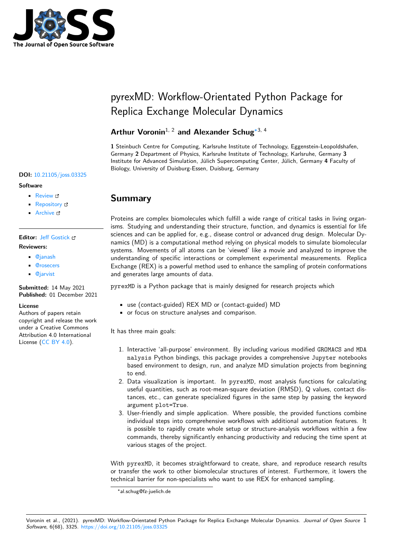

# pyrexMD: Workflow-Orientated Python Package for Replica Exchange Molecular Dynamics

#### **Arthur Voronin**1, 2 **and Alexander Schug**∗3, 4

**1** Steinbuch Centre for Computing, Karlsruhe Institute of Technology, Eggenstein-Leopoldshafen, Germany **2** Department of Physics, Karlsruhe Institute of Technology, Karlsruhe, Germany **3** Institute for Advanced Simulation, Jülich Supercomputing Center, Jülich, Germany **4** Faculty of Biology, University of Duisburg-Essen, Duisburg, Germany

### **Summary**

Proteins are complex biomolecules which fulfill a wide range of critical tasks in living organisms. Studying and understanding their structure, function, and dynamics is essential for life sciences and can be applied for, e.g., disease control or advanced drug design. Molecular Dynamics (MD) is a computational method relying on physical models to simulate biomolecular systems. Movements of all atoms can be 'viewed' like a movie and analyzed to improve the understanding of specific interactions or complement experimental measurements. Replica Exchange (REX) is a powerful method used to enhance the sampling of protein conformations and generates large amounts of data.

pyrexMD is a Python package that is mainly designed for research projects which

- use (contact-guided) REX MD or (contact-guided) MD
- or focus on structure analyses and comparison.

It has three main goals:

- 1. Interactive 'all-purpose' environment. By including various modified GROMACS and MDA nalysis Python bindings, this package provides a comprehensive Jupyter notebooks based environment to design, run, and analyze MD simulation projects from beginning to end.
- 2. Data visualization is important. In pyrexMD, most analysis functions for calculating useful quantities, such as root-mean-square deviation (RMSD), Q values, contact distances, etc., can generate specialized figures in the same step by passing the keyword argument plot=True.
- 3. User-friendly and simple application. Where possible, the provided functions combine individual steps into comprehensive workflows with additional automation features. It is possible to rapidly create whole setup or structure-analysis workflows within a few commands, thereby significantly enhancing productivity and reducing the time spent at various stages of the project.

With pyrexMD, it becomes straightforward to create, share, and reproduce research results or transfer the work to other biomolecular structures of interest. Furthermore, it lowers the technical barrier for non-specialists who want to use REX for enhanced sampling.

#### **DOI:** 10.21105/joss.03325

#### **Software**

- Review L'
- [Repository](https://doi.org/10.21105/joss.03325) &
- Archive

# **Editor:** [Jeff Gost](https://github.com/KIT-MBS/pyREX)ick

- **Revie[wers:](https://doi.org/10.5281/zenodo.5744760)**
	- @janash
	- @rosecers
	- @[jarvist](http://pmeal.com)

**Subm[itted:](https://github.com/janash)** 14 May 2021 **Publi[shed:](https://github.com/rosecers)** 01 December 2021

#### **Licen[se](https://github.com/jarvist)**

Authors of papers retain copyright and release the work under a Creative Commons Attribution 4.0 International License (CC BY 4.0).

<sup>∗</sup>al.schug@fz-juelich.de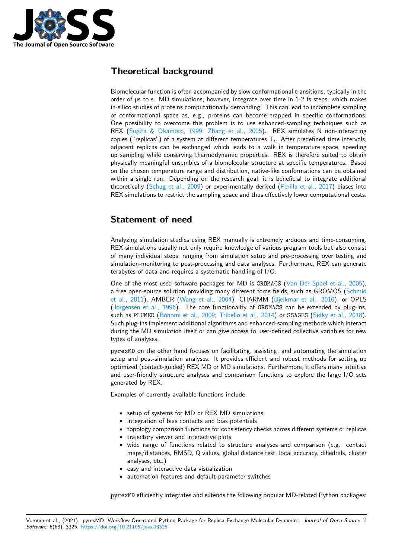

### **Theoretical background**

Biomolecular function is often accompanied by slow conformational transitions, typically in the order of µs to s. MD simulations, however, integrate over time in 1-2 fs steps, which makes in-silico studies of proteins computationally demanding. This can lead to incomplete sampling of conformational space as, e.g., proteins can become trapped in specific conformations. One possibility to overcome this problem is to use enhanced-sampling techniques such as REX (Sugita & Okamoto, 1999; Zhang et al., 2005). REX simulates N non-interacting copies ("replicas") of a system at different temperatures  $\mathsf{T}_i.$  After predefined time intervals, adjacent replicas can be exchanged which leads to a walk in temperature space, speeding up sampling while conserving thermodynamic properties. REX is therefore suited to obtain physic[ally meaningful ensembles o](#page-5-0)f [a biomolecular stru](#page-5-1)cture at specific temperatures. Based on the chosen temperature range and distribution, native-like conformations can be obtained within a single run. Depending on the research goal, it is beneficial to integrate additional theoretically (Schug et al., 2009) or experimentally derived (Perilla et al., 2017) biases into REX simulations to restrict the sampling space and thus effectively lower computational costs.

## **Stateme[nt of need](#page-5-2)**

Analyzing simulation studies using REX manually is extremely arduous and time-consuming. REX simulations usually not only require knowledge of various program tools but also consist of many individual steps, ranging from simulation setup and pre-processing over testing and simulation-monitoring to post-processing and data analyses. Furthermore, REX can generate terabytes of data and requires a systematic handling of I/O.

One of the most used software packages for MD is GROMACS (Van Der Spoel et al., 2005), a free open-source solution providing many different force fields, such as GROMOS (Schmid et al., 2011), AMBER (Wang et al., 2004), CHARMM (Bjelkmar et al., 2010), or OPLS (Jorgensen et al., 1996). The core functionality of GROMACS can be extended by plug-ins, such as PLUMED (Bonomi et al., 2009; Tribello et al., 2014) or SSAGES [\(Sidky et al., 2018](#page-5-3)). Such plug-ins implement additional algorithms and enhanced-sampling methods which [interact](#page-5-4) [during the M](#page-5-4)D simulatio[n itself or can give a](#page-5-5)ccess to user-[defined collective variab](#page-4-0)les for new t[ypes of analyses.](#page-4-1)

pyrexMD on the [other hand focuses o](#page-4-2)n [facilitating, assisting](#page-5-6), and autom[ating the simulatio](#page-5-7)n setup and post-simulation analyses. It provides efficient and robust methods for setting up optimized (contact-guided) REX MD or MD simulations. Furthermore, it offers many intuitive and user-friendly structure analyses and comparison functions to explore the large I/O sets generated by REX.

Examples of currently available functions include:

- setup of systems for MD or REX MD simulations
- integration of bias contacts and bias potentials
- topology comparison functions for consistency checks across different systems or replicas
- trajectory viewer and interactive plots
- wide range of functions related to structure analyses and comparison (e.g. contact maps/distances, RMSD, Q values, global distance test, local accuracy, dihedrals, cluster analyses, etc.)
- easy and interactive data visualization
- automation features and default-parameter switches

pyrexMD efficiently integrates and extends the following popular MD-related Python packages: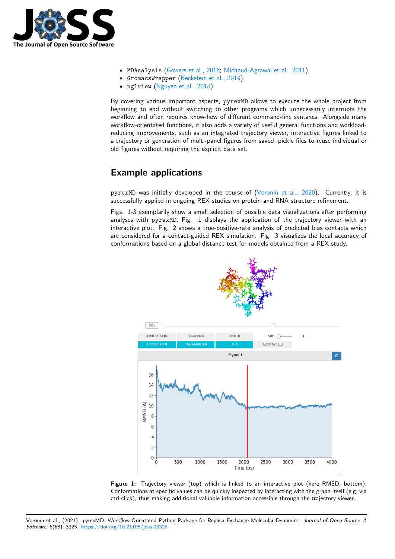

- MDAnalysis (Gowers et al., 2016; Michaud-Agrawal et al., 2011),
- GromacsWrapper (Beckstein et al., 2019),
- nglview (Nguyen et al., 2018).

By covering various [important aspects,](#page-4-3) pyrexMD [allows to execute th](#page-4-4)e whole project from beginning to end witho[ut switching to other](#page-4-5) programs which unnecessarily interrupts the workflow and of[ten requires know-ho](#page-4-6)w of different command-line syntaxes. Alongside many workflow-orientated functions, it also adds a variety of useful general functions and workloadreducing improvements, such as an integrated trajectory viewer, interactive figures linked to a trajectory or generation of multi-panel figures from saved .pickle files to reuse individual or old figures without requiring the explicit data set.

### **Example applications**

pyrexMD was initially developed in the course of (Voronin et al., 2020). Currently, it is successfully applied in ongoing REX studies on protein and RNA structure refinement.

Figs. 1-3 exemplarily show a small selection of possible data visualizations after performing analyses with pyrexMD. Fig. 1 displays the application of the trajectory viewer with an interactive plot. Fig. 2 shows a true-positive-rate a[nalysis of predicted b](#page-5-8)ias contacts which are considered for a contact-guided REX simulation. Fig. 3 visualizes the local accuracy of conformations based on a global distance test for models obtained from a REX study.





Voronin et al., (2021). pyrexMD: Workflow-Orientated Python Package for Replica Exchange Molecular Dynamics. *Journal of Open Source* 3*Software*, 6(68), 3325. https://doi.org/10.21105/joss.03325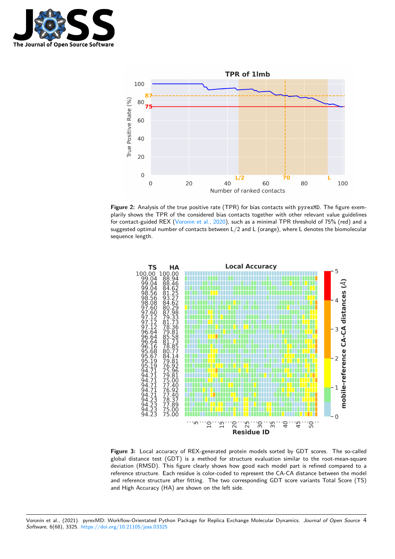



Figure 2: Analysis of the true positive rate (TPR) for bias contacts with pyrexMD. The figure exemplarily shows the TPR of the considered bias contacts together with other relevant value guidelines for contact-guided REX (Voronin et al., 2020), such as a minimal TPR threshold of 75% (red) and a suggested optimal number of contacts between L/2 and L (orange), where L denotes the biomolecular sequence length.



**Figure 3:** Local accuracy of REX-generated protein models sorted by GDT scores. The so-called global distance test (GDT) is a method for structure evaluation similar to the root-mean-square deviation (RMSD). This figure clearly shows how good each model part is refined compared to a reference structure. Each residue is color-coded to represent the CA-CA distance between the model and reference structure after fitting. The two corresponding GDT score variants Total Score (TS) and High Accuracy (HA) are shown on the left side.

Voronin et al., (2021). pyrexMD: Workflow-Orientated Python Package for Replica Exchange Molecular Dynamics. *Journal of Open Source* 4*Software*, 6(68), 3325. https://doi.org/10.21105/joss.03325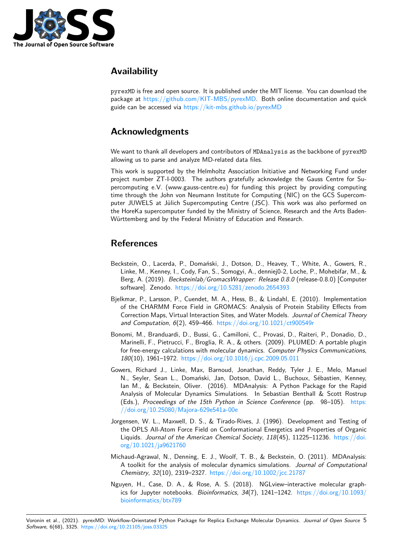

# **Availability**

pyrexMD is free and open source. It is published under the MIT license. You can download the package at https://github.com/KIT-MBS/pyrexMD. Both online documentation and quick guide can be accessed via https://kit-mbs.github.io/pyrexMD

# **Ackno[wledgments](https://github.com/KIT-MBS/pyrexMD)**

We want to thank all developers and contributors of MDAnalysis as the backbone of pyrexMD allowing us to parse and analyze MD-related data files.

This work is supported by the Helmholtz Association Initiative and Networking Fund under project number ZT-I-0003. The authors gratefully acknowledge the Gauss Centre for Supercomputing e.V. (www.gauss-centre.eu) for funding this project by providing computing time through the John von Neumann Institute for Computing (NIC) on the GCS Supercomputer JUWELS at Jülich Supercomputing Centre (JSC). This work was also performed on the HoreKa supercomputer funded by the Ministry of Science, Research and the Arts Baden-Württemberg and by the Federal Ministry of Education and Research.

# **References**

- Beckstein, O., Lacerda, P., Domański, J., Dotson, D., Heavey, T., White, A., Gowers, R., Linke, M., Kenney, I., Cody, Fan, S., Somogyi, A., denniej0-2, Loche, P., Mohebifar, M., & Berg, A. (2019). *Becksteinlab/GromacsWrapper: Release 0.8.0* (release-0.8.0) [Computer software]. Zenodo. https://doi.org/10.5281/zenodo.2654393
- <span id="page-4-5"></span>Bjelkmar, P., Larsson, P., Cuendet, M. A., Hess, B., & Lindahl, E. (2010). Implementation of the CHARMM Force Field in GROMACS: Analysis of Protein Stability Effects from Correction Maps, Vi[rtual Interaction Sites, and Water Models.](https://doi.org/10.5281/zenodo.2654393) *Journal of Chemical Theory and Computation*, *6*(2), 459–466. https://doi.org/10.1021/ct900549r
- <span id="page-4-0"></span>Bonomi, M., Branduardi, D., Bussi, G., Camilloni, C., Provasi, D., Raiteri, P., Donadio, D., Marinelli, F., Pietrucci, F., Broglia, R. A., & others. (2009). PLUMED: A portable plugin for free-energy calculations with molecular dynamics. *Computer Physics Communications*, *180*(10), 1961–1972. https://doi.[org/10.1016/j.cpc.2009.05.011](https://doi.org/10.1021/ct900549r)
- <span id="page-4-2"></span>Gowers, Richard J., Linke, Max, Barnoud, Jonathan, Reddy, Tyler J. E., Melo, Manuel N., Seyler, Sean L., Domański, Jan, Dotson, David L., Buchoux, Sébastien, Kenney, Ian M., & Beckstein, Oliver. (2016). MDAnalysis: A Python Package for the Rapid Analysis of Molecula[r Dynamics Simulations. In Sebastian Be](https://doi.org/10.1016/j.cpc.2009.05.011)nthall & Scott Rostrup (Eds.), *Proceedings of the 15th Python in Science Conference* (pp. 98–105). https: //doi.org/10.25080/Majora-629e541a-00e
- <span id="page-4-3"></span>Jorgensen, W. L., Maxwell, D. S., & Tirado-Rives, J. (1996). Development and Testing of the OPLS All-Atom Force Field on Conformational Energetics and Properties of Organic Liquids. *Journal of the American Chemical Society*, *118*(45), 11225–11236. https:[//doi.](https://doi.org/10.25080/Majora-629e541a-00e) [org/10.1021/ja9621760](https://doi.org/10.25080/Majora-629e541a-00e)
- <span id="page-4-1"></span>Michaud-Agrawal, N., Denning, E. J., Woolf, T. B., & Beckstein, O. (2011). MDAnalysis: A toolkit for the analysis of molecular dynamics simulations. *Journal of Co[mputational](https://doi.org/10.1021/ja9621760) [Chemistry](https://doi.org/10.1021/ja9621760)*, *32*(10), 2319–2327. https://doi.org/10.1002/jcc.21787
- <span id="page-4-6"></span><span id="page-4-4"></span>Nguyen, H., Case, D. A., & Rose, A. S. (2018). NGLview–interactive molecular graphics for Jupyter notebooks. *Bioinformatics*, *34*(7), 1241–1242. https://doi.org/10.1093/ bioinformatics/btx789